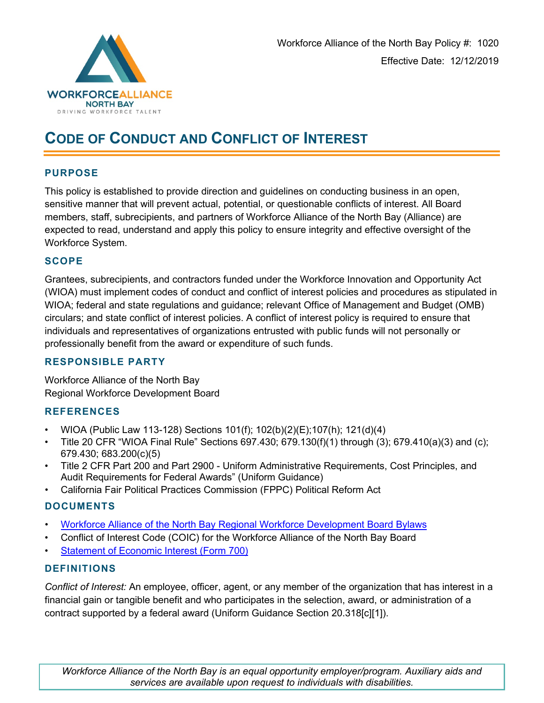

# **CODE OF CONDUCT AND CONFLICT OF INTEREST**

#### **PURPOSE**

This policy is established to provide direction and guidelines on conducting business in an open, sensitive manner that will prevent actual, potential, or questionable conflicts of interest. All Board members, staff, subrecipients, and partners of Workforce Alliance of the North Bay (Alliance) are expected to read, understand and apply this policy to ensure integrity and effective oversight of the Workforce System.

#### **SCOPE**

Grantees, subrecipients, and contractors funded under the Workforce Innovation and Opportunity Act (WIOA) must implement codes of conduct and conflict of interest policies and procedures as stipulated in WIOA; federal and state regulations and guidance; relevant Office of Management and Budget (OMB) circulars; and state conflict of interest policies. A conflict of interest policy is required to ensure that individuals and representatives of organizations entrusted with public funds will not personally or professionally benefit from the award or expenditure of such funds.

#### **RESPONSIBLE PARTY**

Workforce Alliance of the North Bay Regional Workforce Development Board

# **REFERENCES**

- WIOA (Public Law 113-128) Sections 101(f); 102(b)(2)(E);107(h); 121(d)(4)
- Title 20 CFR "WIOA Final Rule" Sections 697.430; 679.130(f)(1) through (3); 679.410(a)(3) and (c); 679.430; 683.200(c)(5)
- Title 2 CFR Part 200 and Part 2900 Uniform Administrative Requirements, Cost Principles, and Audit Requirements for Federal Awards" (Uniform Guidance)
- California Fair Political Practices Commission (FPPC) Political Reform Act

# **DOCUMENTS**

- Workforce Alliance of the [North Bay Regional Workforce Development Board Bylaws](http://www.workforcealliancenorthbay.org/wp-content/uploads/2019/07/WANB-RWDB-Bylaws-signed-and-approved.pdf)
- Conflict of Interest Code (COIC) for the Workforce Alliance of the North Bay Board
- [Statement of Economic Interest \(Form 700\)](http://www.fppc.ca.gov/content/dam/fppc/NS-Documents/TAD/Form%20700/2018-2019/Form%20700%202018.2019%20IA.pdf)

# **DEFINITIONS**

*Conflict of Interest:* An employee, officer, agent, or any member of the organization that has interest in a financial gain or tangible benefit and who participates in the selection, award, or administration of a contract supported by a federal award (Uniform Guidance Section 20.318[c][1]).

*Workforce Alliance of the North Bay is an equal opportunity employer/program. Auxiliary aids and services are available upon request to individuals with disabilities.*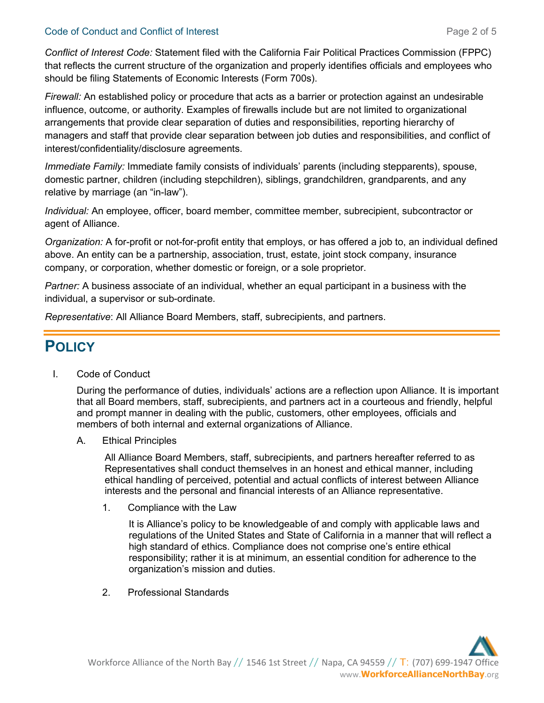#### Code of Conduct and Conflict of Interest **Page 2 of 5** and 2 of 5

*Conflict of Interest Code:* Statement filed with the California Fair Political Practices Commission (FPPC) that reflects the current structure of the organization and properly identifies officials and employees who should be filing Statements of Economic Interests (Form 700s).

*Firewall:* An established policy or procedure that acts as a barrier or protection against an undesirable influence, outcome, or authority. Examples of firewalls include but are not limited to organizational arrangements that provide clear separation of duties and responsibilities, reporting hierarchy of managers and staff that provide clear separation between job duties and responsibilities, and conflict of interest/confidentiality/disclosure agreements.

*Immediate Family:* Immediate family consists of individuals' parents (including stepparents), spouse, domestic partner, children (including stepchildren), siblings, grandchildren, grandparents, and any relative by marriage (an "in-law").

*Individual:* An employee, officer, board member, committee member, subrecipient, subcontractor or agent of Alliance.

*Organization:* A for-profit or not-for-profit entity that employs, or has offered a job to, an individual defined above. An entity can be a partnership, association, trust, estate, joint stock company, insurance company, or corporation, whether domestic or foreign, or a sole proprietor.

*Partner:* A business associate of an individual, whether an equal participant in a business with the individual, a supervisor or sub-ordinate.

*Representative*: All Alliance Board Members, staff, subrecipients, and partners.

# **POLICY**

I. Code of Conduct

During the performance of duties, individuals' actions are a reflection upon Alliance. It is important that all Board members, staff, subrecipients, and partners act in a courteous and friendly, helpful and prompt manner in dealing with the public, customers, other employees, officials and members of both internal and external organizations of Alliance.

A. Ethical Principles

All Alliance Board Members, staff, subrecipients, and partners hereafter referred to as Representatives shall conduct themselves in an honest and ethical manner, including ethical handling of perceived, potential and actual conflicts of interest between Alliance interests and the personal and financial interests of an Alliance representative.

1. Compliance with the Law

It is Alliance's policy to be knowledgeable of and comply with applicable laws and regulations of the United States and State of California in a manner that will reflect a high standard of ethics. Compliance does not comprise one's entire ethical responsibility; rather it is at minimum, an essential condition for adherence to the organization's mission and duties.

2. Professional Standards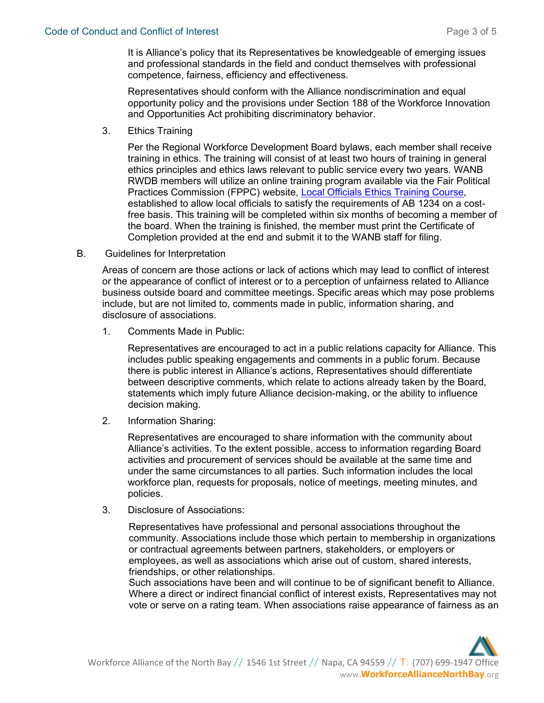It is Alliance's policy that its Representatives be knowledgeable of emerging issues and professional standards in the field and conduct themselves with professional competence, fairness, efficiency and effectiveness.

Representatives should conform with the Alliance nondiscrimination and equal opportunity policy and the provisions under Section 188 of the Workforce Innovation and Opportunities Act prohibiting discriminatory behavior.

3. Ethics Training

Per the Regional Workforce Development Board bylaws, each member shall receive training in ethics. The training will consist of at least two hours of training in general ethics principles and ethics laws relevant to public service every two years. WANB RWDB members will utilize an online training program available via the Fair Political Practices Commission (FPPC) website, [Local Officials Ethics Training Course,](http://localethics.fppc.ca.gov/login.aspx) established to allow local officials to satisfy the requirements of AB 1234 on a costfree basis. This training will be completed within six months of becoming a member of the board. When the training is finished, the member must print the Certificate of Completion provided at the end and submit it to the WANB staff for filing.

B. Guidelines for Interpretation

Areas of concern are those actions or lack of actions which may lead to conflict of interest or the appearance of conflict of interest or to a perception of unfairness related to Alliance business outside board and committee meetings. Specific areas which may pose problems include, but are not limited to, comments made in public, information sharing, and disclosure of associations.

1. Comments Made in Public:

Representatives are encouraged to act in a public relations capacity for Alliance. This includes public speaking engagements and comments in a public forum. Because there is public interest in Alliance's actions, Representatives should differentiate between descriptive comments, which relate to actions already taken by the Board, statements which imply future Alliance decision-making, or the ability to influence decision making.

2. Information Sharing:

Representatives are encouraged to share information with the community about Alliance's activities. To the extent possible, access to information regarding Board activities and procurement of services should be available at the same time and under the same circumstances to all parties. Such information includes the local workforce plan, requests for proposals, notice of meetings, meeting minutes, and policies.

3. Disclosure of Associations:

Representatives have professional and personal associations throughout the community. Associations include those which pertain to membership in organizations or contractual agreements between partners, stakeholders, or employers or employees, as well as associations which arise out of custom, shared interests, friendships, or other relationships.

Such associations have been and will continue to be of significant benefit to Alliance. Where a direct or indirect financial conflict of interest exists, Representatives may not vote or serve on a rating team. When associations raise appearance of fairness as an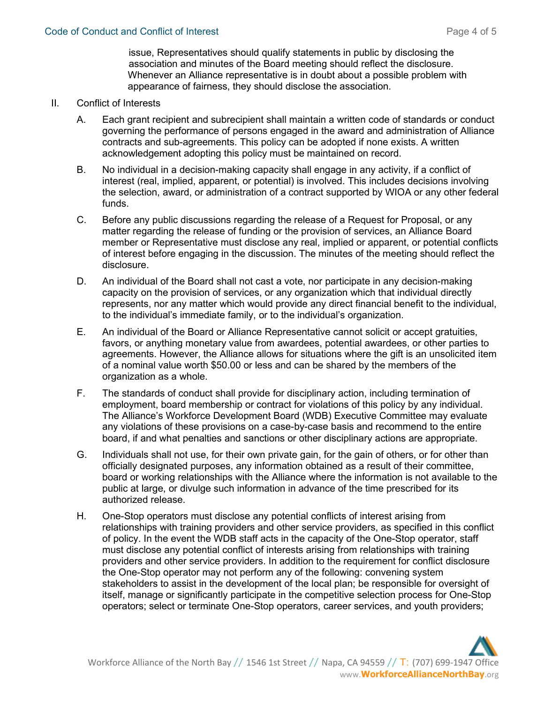issue, Representatives should qualify statements in public by disclosing the association and minutes of the Board meeting should reflect the disclosure. Whenever an Alliance representative is in doubt about a possible problem with appearance of fairness, they should disclose the association.

#### II. Conflict of Interests

- A. Each grant recipient and subrecipient shall maintain a written code of standards or conduct governing the performance of persons engaged in the award and administration of Alliance contracts and sub-agreements. This policy can be adopted if none exists. A written acknowledgement adopting this policy must be maintained on record.
- B. No individual in a decision-making capacity shall engage in any activity, if a conflict of interest (real, implied, apparent, or potential) is involved. This includes decisions involving the selection, award, or administration of a contract supported by WIOA or any other federal funds.
- C. Before any public discussions regarding the release of a Request for Proposal, or any matter regarding the release of funding or the provision of services, an Alliance Board member or Representative must disclose any real, implied or apparent, or potential conflicts of interest before engaging in the discussion. The minutes of the meeting should reflect the disclosure.
- D. An individual of the Board shall not cast a vote, nor participate in any decision-making capacity on the provision of services, or any organization which that individual directly represents, nor any matter which would provide any direct financial benefit to the individual, to the individual's immediate family, or to the individual's organization.
- E. An individual of the Board or Alliance Representative cannot solicit or accept gratuities, favors, or anything monetary value from awardees, potential awardees, or other parties to agreements. However, the Alliance allows for situations where the gift is an unsolicited item of a nominal value worth \$50.00 or less and can be shared by the members of the organization as a whole.
- F. The standards of conduct shall provide for disciplinary action, including termination of employment, board membership or contract for violations of this policy by any individual. The Alliance's Workforce Development Board (WDB) Executive Committee may evaluate any violations of these provisions on a case-by-case basis and recommend to the entire board, if and what penalties and sanctions or other disciplinary actions are appropriate.
- G. Individuals shall not use, for their own private gain, for the gain of others, or for other than officially designated purposes, any information obtained as a result of their committee, board or working relationships with the Alliance where the information is not available to the public at large, or divulge such information in advance of the time prescribed for its authorized release.
- H. One-Stop operators must disclose any potential conflicts of interest arising from relationships with training providers and other service providers, as specified in this conflict of policy. In the event the WDB staff acts in the capacity of the One-Stop operator, staff must disclose any potential conflict of interests arising from relationships with training providers and other service providers. In addition to the requirement for conflict disclosure the One-Stop operator may not perform any of the following: convening system stakeholders to assist in the development of the local plan; be responsible for oversight of itself, manage or significantly participate in the competitive selection process for One-Stop operators; select or terminate One-Stop operators, career services, and youth providers;